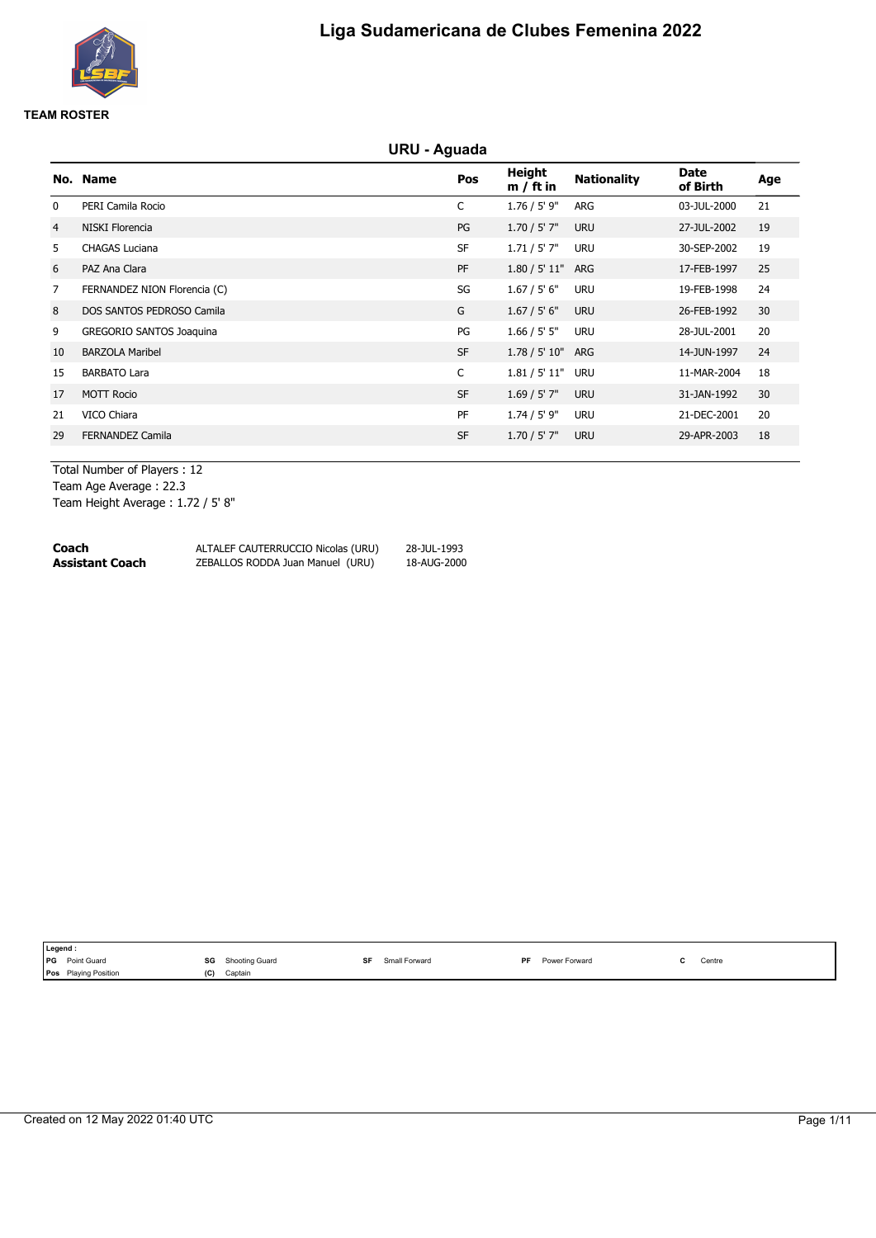

# **URU - Aguada**

|                | No. Name                        | Pos       | Height<br>$m / ft$ in | <b>Nationality</b> | Date<br>of Birth | Age |
|----------------|---------------------------------|-----------|-----------------------|--------------------|------------------|-----|
| 0              | PERI Camila Rocio               | C         | $1.76 / 5'$ 9"        | ARG                | 03-JUL-2000      | 21  |
| $\overline{4}$ | NISKI Florencia                 | PG        | $1.70 / 5'$ 7"        | <b>URU</b>         | 27-JUL-2002      | 19  |
| 5              | <b>CHAGAS Luciana</b>           | <b>SF</b> | 1.71 / 5' 7"          | <b>URU</b>         | 30-SEP-2002      | 19  |
| 6              | PAZ Ana Clara                   | PF        | 1.80 / 5' 11"         | ARG                | 17-FEB-1997      | 25  |
| 7              | FERNANDEZ NION Florencia (C)    | SG        | 1.67 / 5' 6"          | <b>URU</b>         | 19-FEB-1998      | 24  |
| 8              | DOS SANTOS PEDROSO Camila       | G         | 1.67 / 5' 6''         | <b>URU</b>         | 26-FEB-1992      | 30  |
| 9              | <b>GREGORIO SANTOS Joaquina</b> | PG        | 1.66 / 5' 5"          | <b>URU</b>         | 28-JUL-2001      | 20  |
| 10             | <b>BARZOLA Maribel</b>          | <b>SF</b> | 1.78 / 5' 10"         | ARG                | 14-JUN-1997      | 24  |
| 15             | <b>BARBATO Lara</b>             | C         | 1.81 / 5' 11"         | <b>URU</b>         | 11-MAR-2004      | 18  |
| 17             | <b>MOTT Rocio</b>               | <b>SF</b> | $1.69 / 5'$ 7"        | <b>URU</b>         | 31-JAN-1992      | 30  |
| 21             | VICO Chiara                     | PF        | $1.74 / 5'$ 9"        | <b>URU</b>         | 21-DEC-2001      | 20  |
| 29             | <b>FERNANDEZ Camila</b>         | <b>SF</b> | $1.70 / 5'$ 7"        | <b>URU</b>         | 29-APR-2003      | 18  |
|                |                                 |           |                       |                    |                  |     |

Total Number of Players : 12 Team Age Average : 22.3 Team Height Average : 1.72 / 5' 8"

| Coach           | ALTALEF CAUTERRUCCIO Nicolas (URU) | 28-JUL-1993 |
|-----------------|------------------------------------|-------------|
| Assistant Coach | ZEBALLOS RODDA Juan Manuel (URU)   | 18-AUG-2000 |

| Legend :                       |                                                         |                            |                      |                                               |
|--------------------------------|---------------------------------------------------------|----------------------------|----------------------|-----------------------------------------------|
| <b>IPG</b><br>Point Guard      | SG<br>Shooting Guard<br>the contract of the contract of | <b>SF</b><br>Small Forward | DE.<br>Power Forward | Centre<br>the contract of the contract of the |
| Plaving Position<br><b>Pos</b> | (C)<br>Captain                                          |                            |                      |                                               |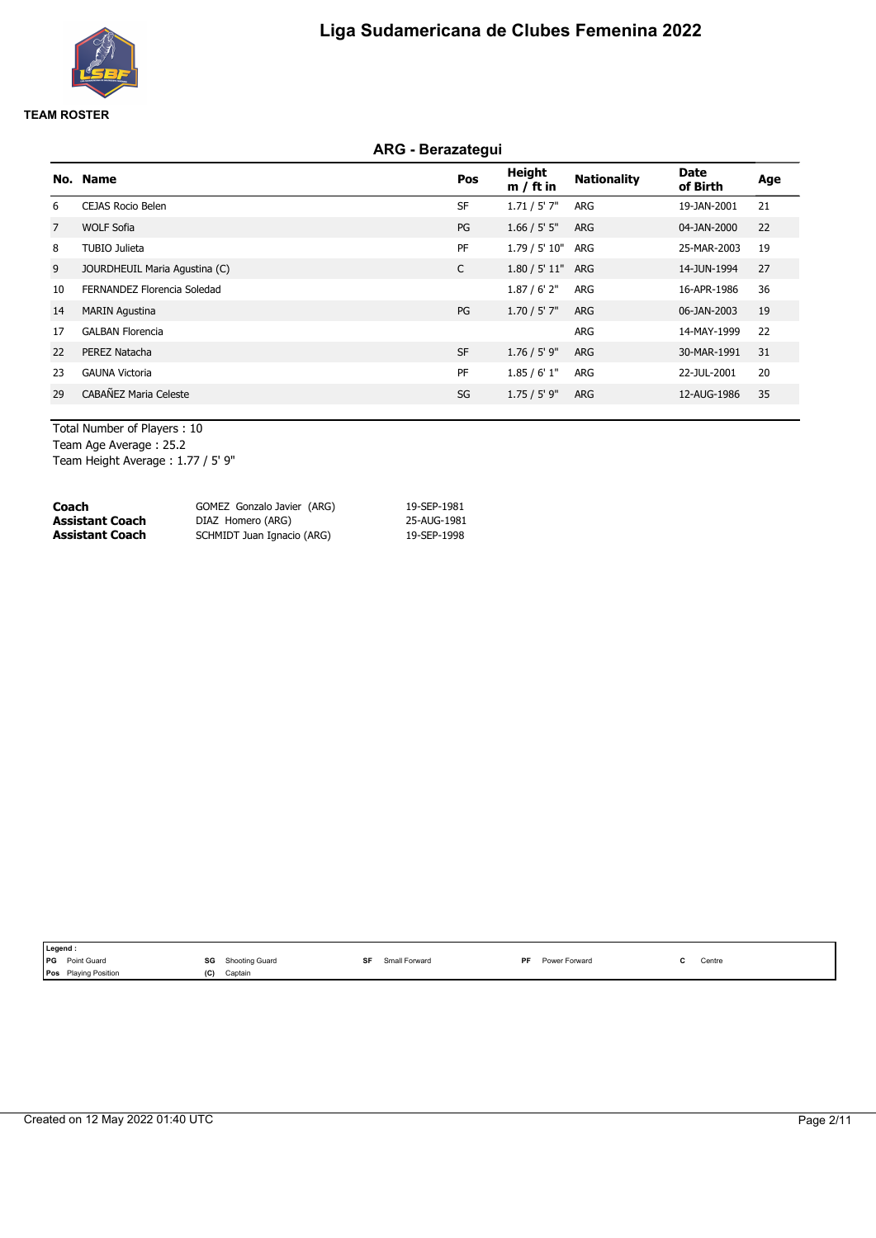

# **ARG - Berazategui**

|                | No. Name                      | Pos       | <b>Height</b><br>$m / ft$ in | <b>Nationality</b> | Date<br>of Birth | Age |
|----------------|-------------------------------|-----------|------------------------------|--------------------|------------------|-----|
| 6              | <b>CEJAS Rocio Belen</b>      | <b>SF</b> | 1.71 / 5' 7"                 | ARG                | 19-JAN-2001      | 21  |
| $\overline{7}$ | <b>WOLF Sofia</b>             | PG        | 1.66 / 5' 5''                | <b>ARG</b>         | 04-JAN-2000      | 22  |
| 8              | TUBIO Julieta                 | PF        | 1.79 / 5' 10"                | ARG                | 25-MAR-2003      | 19  |
| 9              | JOURDHEUIL Maria Agustina (C) | C         | 1.80 / 5' 11"                | ARG                | 14-JUN-1994      | 27  |
| 10             | FERNANDEZ Florencia Soledad   |           | 1.87/6'2"                    | ARG                | 16-APR-1986      | 36  |
| 14             | <b>MARIN Agustina</b>         | PG        | $1.70 / 5'$ 7"               | <b>ARG</b>         | 06-JAN-2003      | 19  |
| 17             | <b>GALBAN Florencia</b>       |           |                              | ARG                | 14-MAY-1999      | 22  |
| 22             | PEREZ Natacha                 | <b>SF</b> | $1.76 / 5'$ 9"               | <b>ARG</b>         | 30-MAR-1991      | 31  |
| 23             | <b>GAUNA Victoria</b>         | PF        | 1.85/6'1"                    | ARG                | 22-JUL-2001      | 20  |
| 29             | CABAÑEZ Maria Celeste         | SG        | 1.75/5'9"                    | <b>ARG</b>         | 12-AUG-1986      | 35  |

Total Number of Players : 10 Team Age Average : 25.2 Team Height Average : 1.77 / 5' 9"

| Coach           | GOMEZ Gonzalo Javier (ARG) | 19-SEP-1981 |  |
|-----------------|----------------------------|-------------|--|
| Assistant Coach | DIAZ Homero (ARG)          | 25-AUG-1981 |  |
| Assistant Coach | SCHMIDT Juan Ignacio (ARG) | 19-SEP-1998 |  |
|                 |                            |             |  |

|            | Legend :                    |     |                                                       |  |               |           |                      |  |                                               |  |  |
|------------|-----------------------------|-----|-------------------------------------------------------|--|---------------|-----------|----------------------|--|-----------------------------------------------|--|--|
| <b>IPG</b> | Point Guard                 | SG  | Shooting Guard<br>the contract of the contract of the |  | Small Forward | <b>DF</b> | <b>Power Forward</b> |  | Centre<br>the contract of the contract of the |  |  |
|            | <b>Pos</b> Playing Position | וטו | Captain                                               |  |               |           |                      |  |                                               |  |  |
|            |                             |     |                                                       |  |               |           |                      |  |                                               |  |  |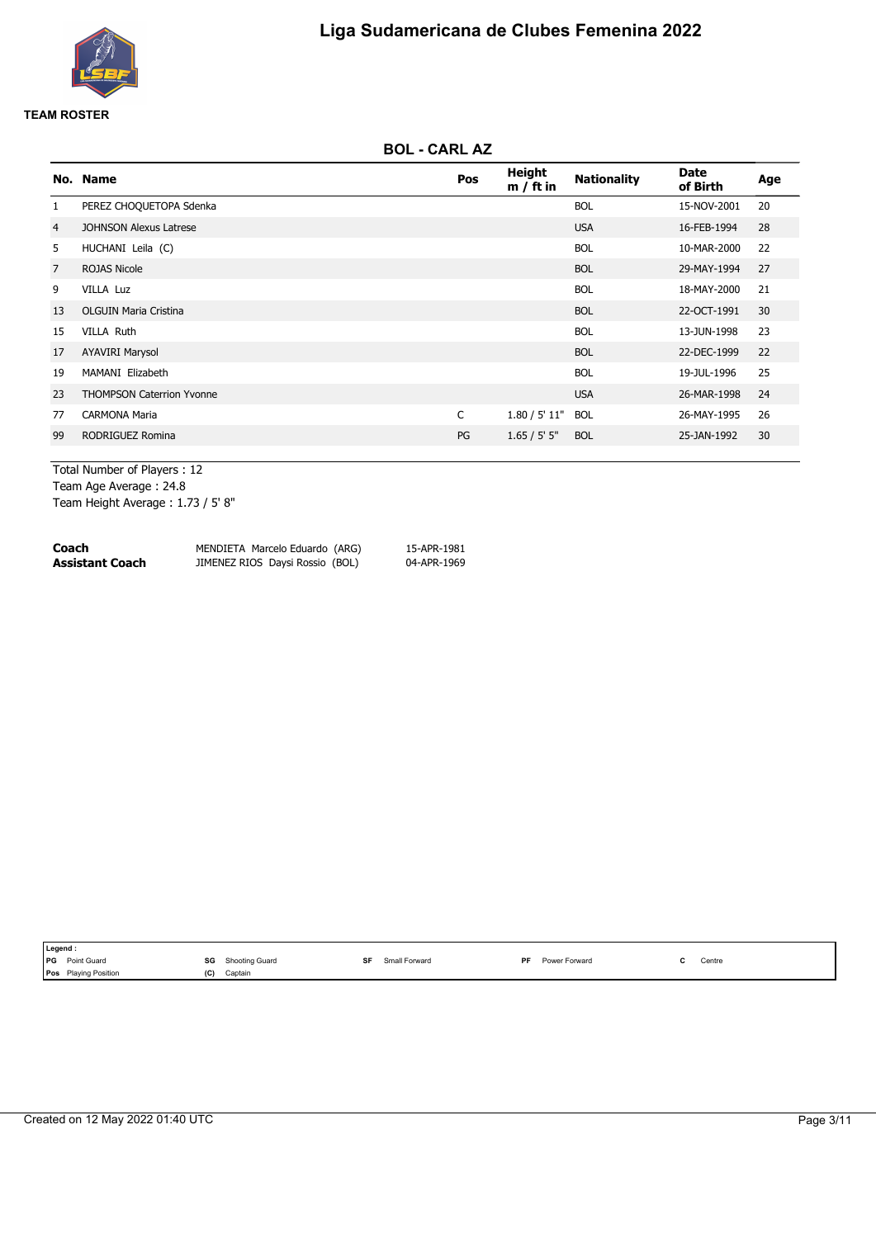

# **BOL - CARL AZ**

|                | No. Name                         | <b>Pos</b> | <b>Height</b><br>$m / ft$ in | <b>Nationality</b> | Date<br>of Birth | Age |
|----------------|----------------------------------|------------|------------------------------|--------------------|------------------|-----|
| $\mathbf{1}$   | PEREZ CHOQUETOPA Sdenka          |            |                              | <b>BOL</b>         | 15-NOV-2001      | 20  |
| 4              | <b>JOHNSON Alexus Latrese</b>    |            |                              | <b>USA</b>         | 16-FEB-1994      | 28  |
| 5              | HUCHANI Leila (C)                |            |                              | <b>BOL</b>         | 10-MAR-2000      | 22  |
| $\overline{7}$ | <b>ROJAS Nicole</b>              |            |                              | <b>BOL</b>         | 29-MAY-1994      | 27  |
| 9              | VILLA Luz                        |            |                              | <b>BOL</b>         | 18-MAY-2000      | 21  |
| 13             | <b>OLGUIN Maria Cristina</b>     |            |                              | <b>BOL</b>         | 22-OCT-1991      | 30  |
| 15             | <b>VILLA Ruth</b>                |            |                              | <b>BOL</b>         | 13-JUN-1998      | 23  |
| 17             | <b>AYAVIRI Marysol</b>           |            |                              | <b>BOL</b>         | 22-DEC-1999      | 22  |
| 19             | MAMANI Elizabeth                 |            |                              | <b>BOL</b>         | 19-JUL-1996      | 25  |
| 23             | <b>THOMPSON Caterrion Yvonne</b> |            |                              | <b>USA</b>         | 26-MAR-1998      | 24  |
| 77             | <b>CARMONA Maria</b>             | C          | 1.80 / 5' 11"                | <b>BOL</b>         | 26-MAY-1995      | 26  |
| 99             | RODRIGUEZ Romina                 | PG         | 1.65 / 5' 5''                | <b>BOL</b>         | 25-JAN-1992      | 30  |
|                |                                  |            |                              |                    |                  |     |

Total Number of Players : 12 Team Age Average : 24.8 Team Height Average : 1.73 / 5' 8"

| Coach           | MENDIETA Marcelo Eduardo (ARG)  | 15-APR-1981 |
|-----------------|---------------------------------|-------------|
| Assistant Coach | JIMENEZ RIOS Daysi Rossio (BOL) | 04-APR-1969 |

|            | Legend:                     |                      |               |                            |        |  |  |  |  |  |  |
|------------|-----------------------------|----------------------|---------------|----------------------------|--------|--|--|--|--|--|--|
| <b>IPG</b> | Point Guard                 | SG<br>Shooting Guard | Small Forward | Power Forward<br><b>DF</b> | Centre |  |  |  |  |  |  |
|            | <b>Pos</b> Playing Position | (C)<br>Captain       |               |                            |        |  |  |  |  |  |  |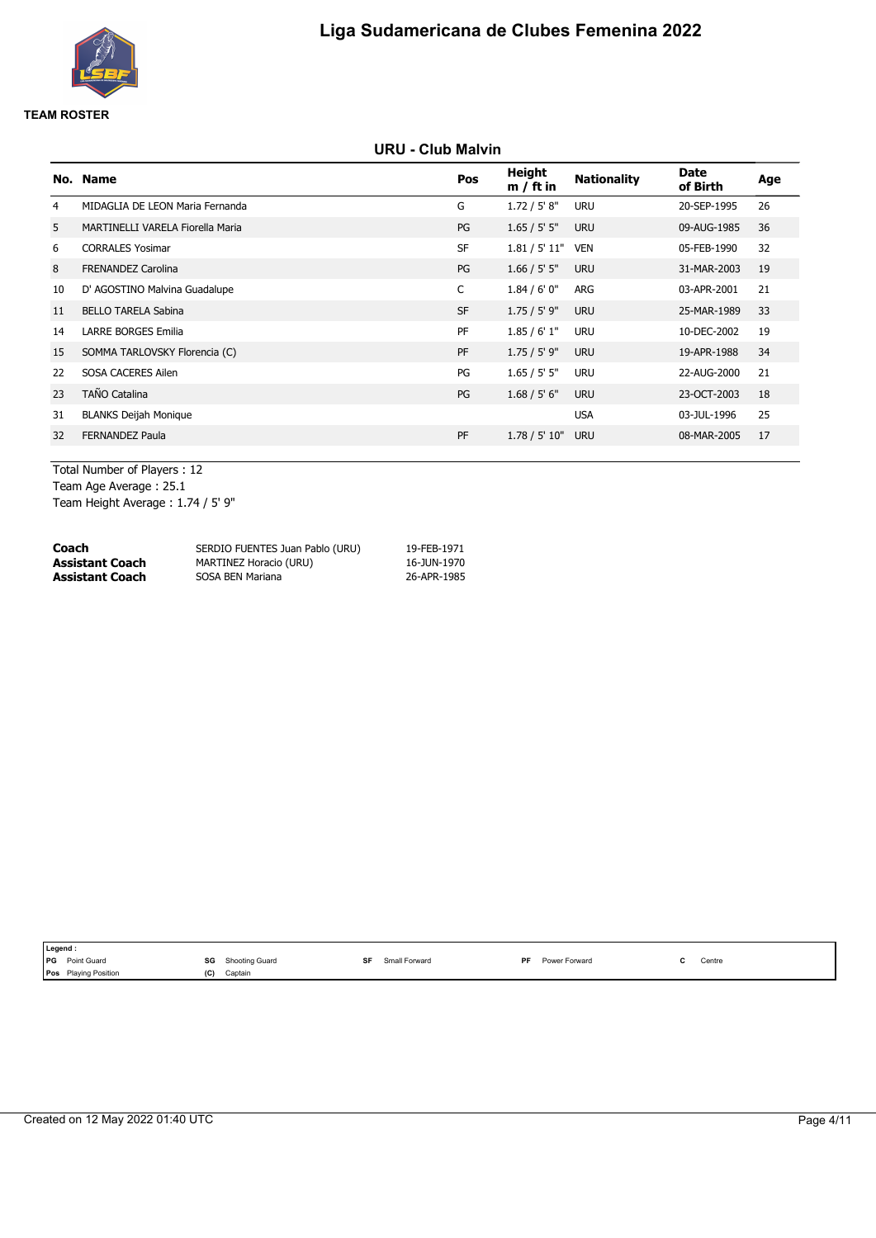

# **URU - Club Malvin**

|    | No. Name                         | Pos       | <b>Height</b><br>$m / ft$ in | <b>Nationality</b> | <b>Date</b><br>of Birth | Age |
|----|----------------------------------|-----------|------------------------------|--------------------|-------------------------|-----|
| 4  | MIDAGLIA DE LEON Maria Fernanda  | G         | 1.72 / 5' 8''                | <b>URU</b>         | 20-SEP-1995             | 26  |
| 5  | MARTINELLI VARELA Fiorella Maria | PG        | 1.65 / 5' 5"                 | <b>URU</b>         | 09-AUG-1985             | 36  |
| 6  | <b>CORRALES Yosimar</b>          | <b>SF</b> | 1.81 / 5' 11"                | <b>VEN</b>         | 05-FEB-1990             | 32  |
| 8  | <b>FRENANDEZ Carolina</b>        | PG        | 1.66 / 5' 5''                | <b>URU</b>         | 31-MAR-2003             | 19  |
| 10 | D' AGOSTINO Malvina Guadalupe    | C         | 1.84/6'0''                   | ARG                | 03-APR-2001             | 21  |
| 11 | <b>BELLO TARELA Sabina</b>       | <b>SF</b> | $1.75 / 5'$ 9"               | <b>URU</b>         | 25-MAR-1989             | 33  |
| 14 | <b>LARRE BORGES Emilia</b>       | PF        | 1.85/6'1"                    | <b>URU</b>         | 10-DEC-2002             | 19  |
| 15 | SOMMA TARLOVSKY Florencia (C)    | PF        | 1.75 / 5' 9"                 | <b>URU</b>         | 19-APR-1988             | 34  |
| 22 | SOSA CACERES Ailen               | PG        | 1.65 / 5' 5"                 | <b>URU</b>         | 22-AUG-2000             | 21  |
| 23 | <b>TAÑO Catalina</b>             | PG        | 1.68 / 5' 6''                | <b>URU</b>         | 23-OCT-2003             | 18  |
| 31 | <b>BLANKS Deijah Monique</b>     |           |                              | <b>USA</b>         | 03-JUL-1996             | 25  |
| 32 | <b>FERNANDEZ Paula</b>           | PF        | 1.78 / 5' 10"                | <b>URU</b>         | 08-MAR-2005             | 17  |
|    |                                  |           |                              |                    |                         |     |

Total Number of Players : 12 Team Age Average : 25.1 Team Height Average : 1.74 / 5' 9"

| Coach           | SERDIO FUENTES Juan Pablo (URU) | 19-FEB-1971 |
|-----------------|---------------------------------|-------------|
| Assistant Coach | MARTINEZ Horacio (URU)          | 16-JUN-1970 |
| Assistant Coach | SOSA BEN Mariana                | 26-APR-1985 |

| Legend :              |     |                |     |               |    |               |  |        |  |  |
|-----------------------|-----|----------------|-----|---------------|----|---------------|--|--------|--|--|
| <b>PG</b> Point Guard | SG  | Shooting Guard | cг. | Small Forward | PF | Power Forward |  | Centre |  |  |
| Pos Playing Position  | (C) | Captain        |     |               |    |               |  |        |  |  |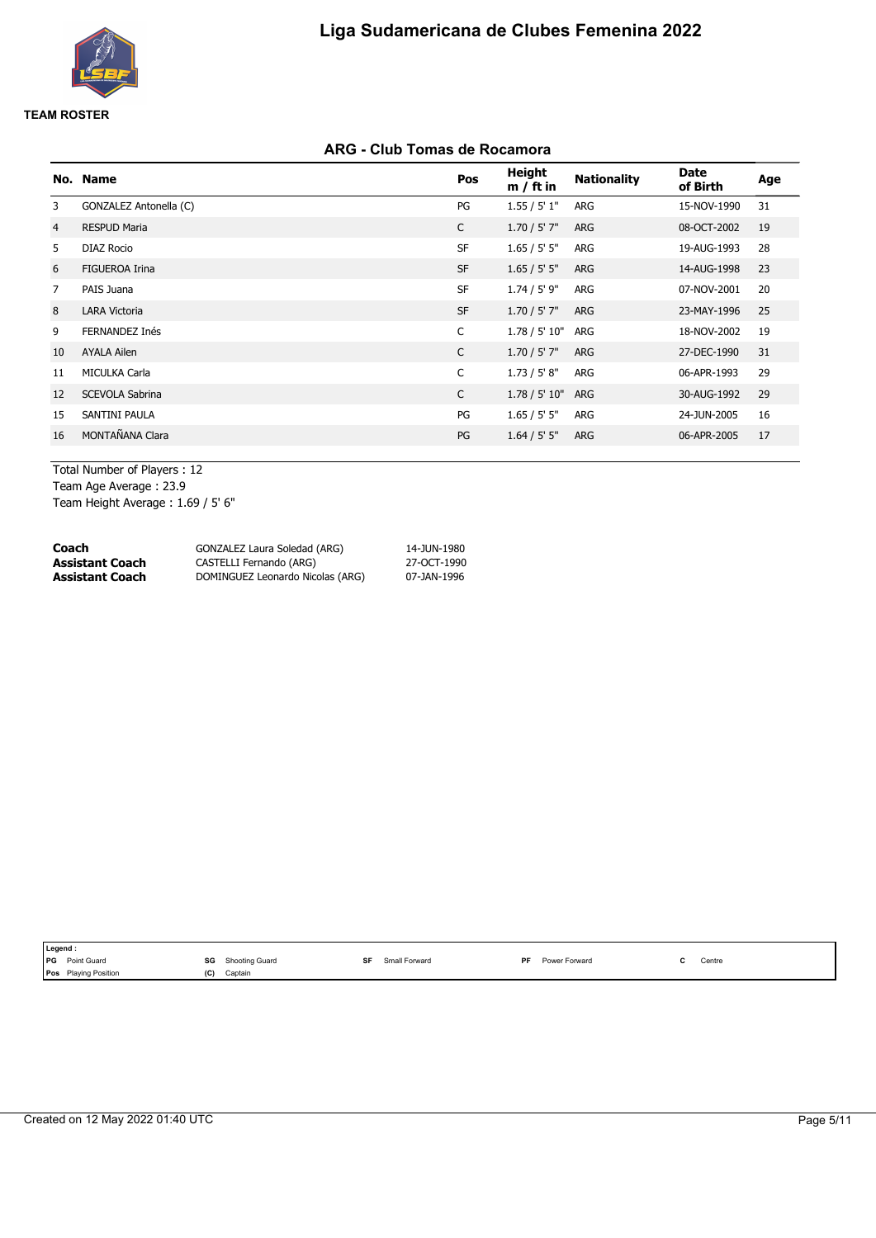

# **ARG - Club Tomas de Rocamora**

|                | No. Name               | Pos          | <b>Height</b><br>$m / ft$ in | <b>Nationality</b> | <b>Date</b><br>of Birth | Age |
|----------------|------------------------|--------------|------------------------------|--------------------|-------------------------|-----|
| 3              | GONZALEZ Antonella (C) | PG           | 1.55 / 5' 1"                 | ARG                | 15-NOV-1990             | 31  |
| $\overline{4}$ | <b>RESPUD Maria</b>    | $\mathsf{C}$ | $1.70 / 5'$ 7"               | <b>ARG</b>         | 08-OCT-2002             | 19  |
| 5              | <b>DIAZ Rocio</b>      | <b>SF</b>    | 1.65 / 5' 5"                 | ARG                | 19-AUG-1993             | 28  |
| 6              | <b>FIGUEROA Irina</b>  | <b>SF</b>    | 1.65 / 5' 5''                | ARG                | 14-AUG-1998             | 23  |
| $\overline{7}$ | PAIS Juana             | <b>SF</b>    | $1.74 / 5'$ 9"               | ARG                | 07-NOV-2001             | 20  |
| 8              | <b>LARA Victoria</b>   | <b>SF</b>    | $1.70 / 5'$ 7"               | <b>ARG</b>         | 23-MAY-1996             | 25  |
| 9              | FERNANDEZ Inés         | C            | 1.78 / 5' 10"                | ARG                | 18-NOV-2002             | 19  |
| 10             | <b>AYALA Ailen</b>     | C            | $1.70 / 5'$ 7"               | ARG                | 27-DEC-1990             | 31  |
| 11             | <b>MICULKA Carla</b>   | C            | 1.73 / 5' 8"                 | ARG                | 06-APR-1993             | 29  |
| 12             | <b>SCEVOLA Sabrina</b> | C            | 1.78 / 5' 10"                | ARG                | 30-AUG-1992             | 29  |
| 15             | SANTINI PAULA          | PG           | 1.65 / 5' 5''                | ARG                | 24-JUN-2005             | 16  |
| 16             | MONTAÑANA Clara        | PG           | 1.64 / 5' 5"                 | <b>ARG</b>         | 06-APR-2005             | 17  |
|                |                        |              |                              |                    |                         |     |

Total Number of Players : 12 Team Age Average : 23.9 Team Height Average : 1.69 / 5' 6"

| Coach                  | GONZALEZ Laura Soledad (ARG)     | 14-JUN-1980 |
|------------------------|----------------------------------|-------------|
| <b>Assistant Coach</b> | CASTELLI Fernando (ARG)          | 27-OCT-1990 |
| <b>Assistant Coach</b> | DOMINGUEZ Leonardo Nicolas (ARG) | 07-JAN-1996 |

| Legend :                         |                      |                      |                            |        |  |
|----------------------------------|----------------------|----------------------|----------------------------|--------|--|
| <b>Point Guard</b><br><b>IPG</b> | SG<br>Shooting Guard | cг.<br>Small Forward | Power Forward<br><b>DF</b> | Centre |  |
| <b>Pos</b> Playing Position      | (C)<br>Captain       |                      |                            |        |  |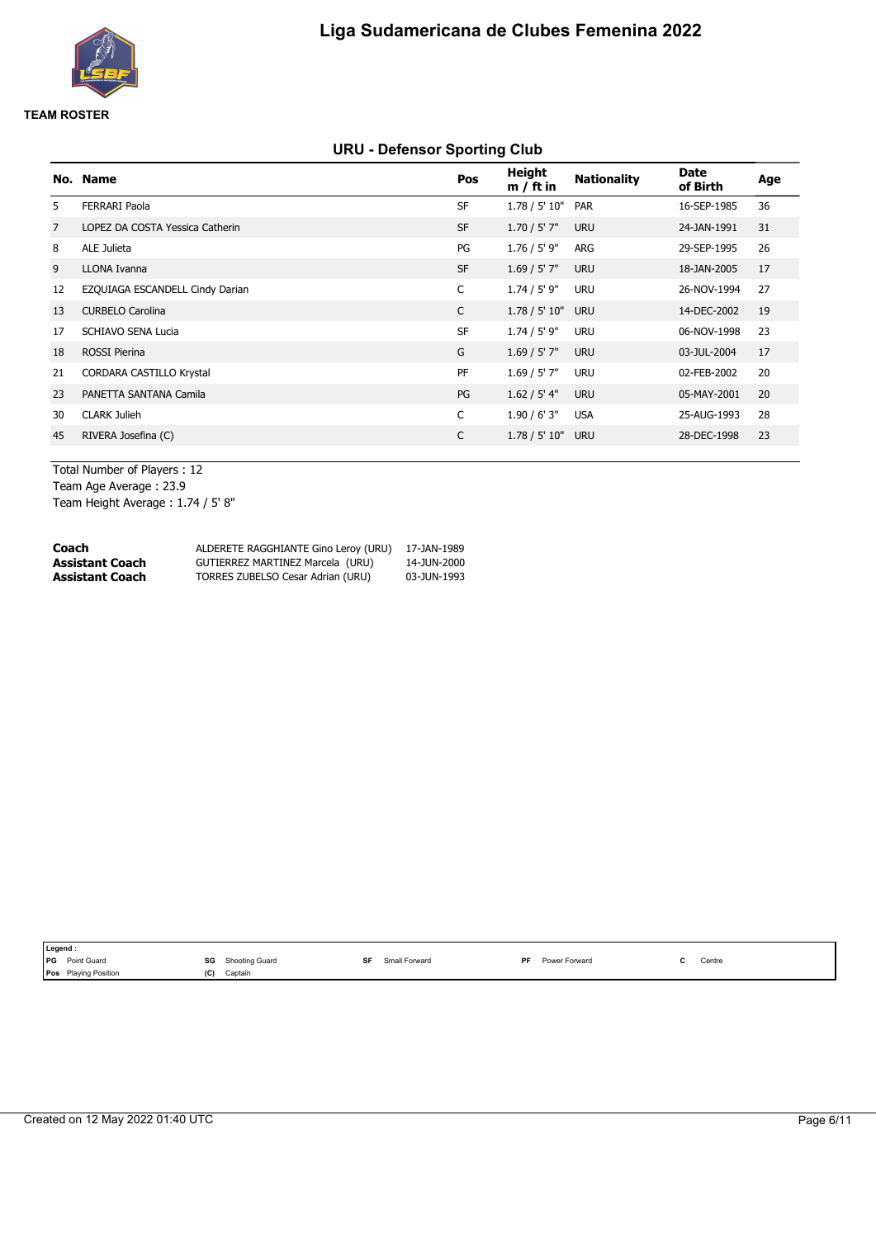

# **URU - Defensor Sporting Club**

|                | No. Name                        | Pos          | <b>Height</b><br>$m / ft$ in | <b>Nationality</b> | <b>Date</b><br>of Birth | Age |
|----------------|---------------------------------|--------------|------------------------------|--------------------|-------------------------|-----|
| 5              | <b>FERRARI Paola</b>            | <b>SF</b>    | 1.78 / 5' 10"                | <b>PAR</b>         | 16-SEP-1985             | 36  |
| $\overline{7}$ | LOPEZ DA COSTA Yessica Catherin | <b>SF</b>    | $1.70 / 5'$ 7"               | <b>URU</b>         | 24-JAN-1991             | 31  |
| 8              | ALE Julieta                     | PG           | $1.76 / 5'$ 9"               | ARG                | 29-SEP-1995             | 26  |
| 9              | LLONA Ivanna                    | <b>SF</b>    | $1.69 / 5'$ 7"               | <b>URU</b>         | 18-JAN-2005             | 17  |
| 12             | EZQUIAGA ESCANDELL Cindy Darian | C            | $1.74 / 5'$ 9"               | <b>URU</b>         | 26-NOV-1994             | 27  |
| 13             | <b>CURBELO Carolina</b>         | $\mathsf{C}$ | 1.78 / 5' 10"                | <b>URU</b>         | 14-DEC-2002             | 19  |
| 17             | SCHIAVO SENA Lucia              | <b>SF</b>    | $1.74 / 5'$ 9"               | URU                | 06-NOV-1998             | 23  |
| 18             | <b>ROSSI Pierina</b>            | G            | 1.69 / 5' 7''                | <b>URU</b>         | 03-JUL-2004             | 17  |
| 21             | <b>CORDARA CASTILLO Krystal</b> | PF           | 1.69 / 5' 7"                 | <b>URU</b>         | 02-FEB-2002             | 20  |
| 23             | PANETTA SANTANA Camila          | PG           | 1.62 / 5' 4"                 | <b>URU</b>         | 05-MAY-2001             | 20  |
| 30             | <b>CLARK Julieh</b>             | C            | 1.90 / 6' 3"                 | <b>USA</b>         | 25-AUG-1993             | 28  |
| 45             | RIVERA Josefina (C)             | C            | 1.78 / 5' 10"                | <b>URU</b>         | 28-DEC-1998             | 23  |
|                |                                 |              |                              |                    |                         |     |

Total Number of Players : 12 Team Age Average : 23.9 Team Height Average : 1.74 / 5' 8"

| Coach           | ALDERETE RAGGHIANTE Gino Leroy (URU) | 17-JAN-1989 |
|-----------------|--------------------------------------|-------------|
| Assistant Coach | GUTIERREZ MARTINEZ Marcela (URU)     | 14-JUN-2000 |
| Assistant Coach | TORRES ZUBELSO Cesar Adrian (URU)    | 03-JUN-1993 |

|            | Legend :                    |                      |                      |                            |        |
|------------|-----------------------------|----------------------|----------------------|----------------------------|--------|
| <b>IPG</b> | Point Guard                 | SG<br>Shooting Guard | cг.<br>Small Forward | Power Forward<br><b>DF</b> | Centre |
|            | <b>Pos</b> Playing Position | (C)<br>Captain       |                      |                            |        |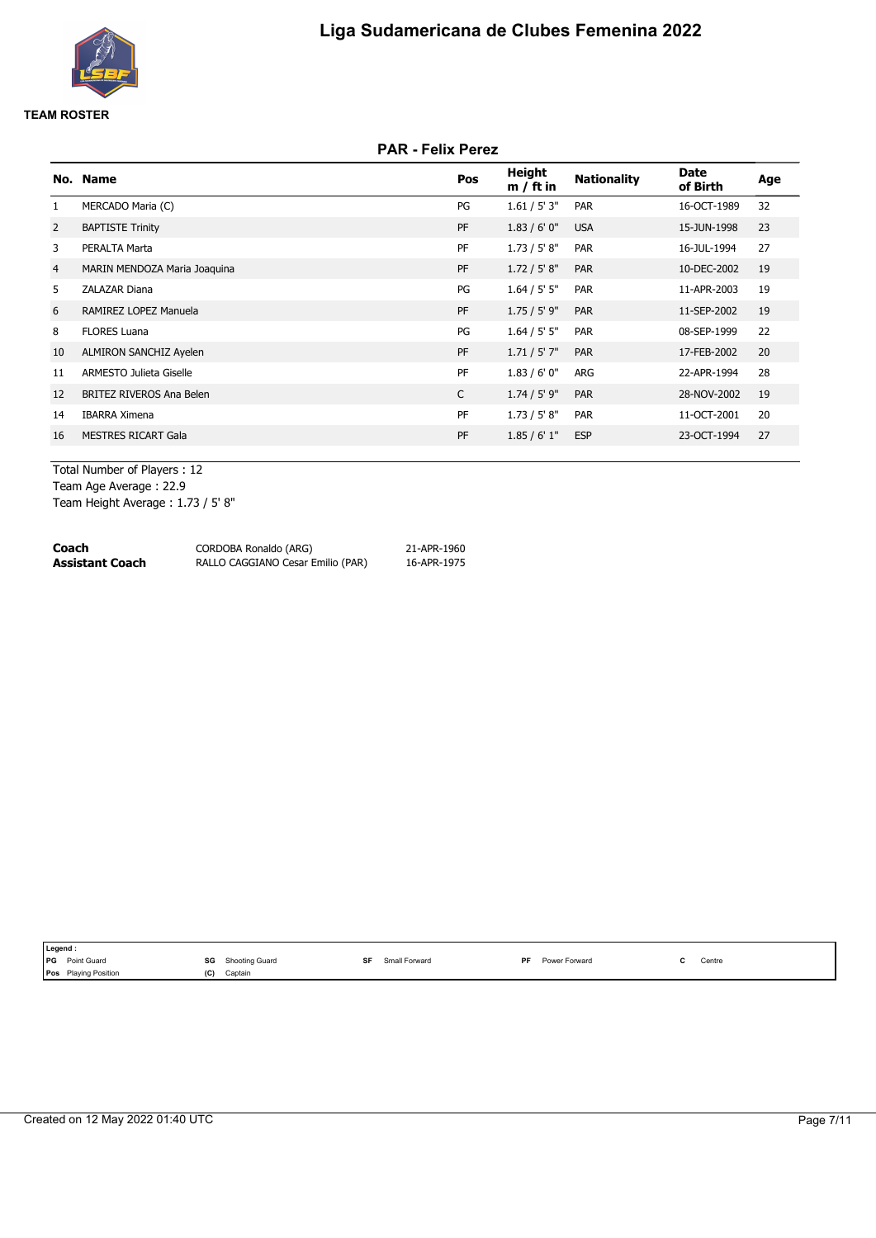

# **PAR - Felix Perez**

|                | No. Name                     | Pos | <b>Height</b><br>$m / ft$ in | <b>Nationality</b> | <b>Date</b><br>of Birth | Age |
|----------------|------------------------------|-----|------------------------------|--------------------|-------------------------|-----|
| $\mathbf{1}$   | MERCADO Maria (C)            | PG  | 1.61 / 5' 3"                 | <b>PAR</b>         | 16-OCT-1989             | 32  |
| 2              | <b>BAPTISTE Trinity</b>      | PF  | 1.83/6'0''                   | <b>USA</b>         | 15-JUN-1998             | 23  |
| 3              | PERALTA Marta                | PF  | 1.73 / 5' 8''                | <b>PAR</b>         | 16-JUL-1994             | 27  |
| $\overline{4}$ | MARIN MENDOZA Maria Joaquina | PF  | 1.72 / 5' 8''                | <b>PAR</b>         | 10-DEC-2002             | 19  |
| 5              | ZALAZAR Diana                | PG  | 1.64 / 5' 5"                 | <b>PAR</b>         | 11-APR-2003             | 19  |
| 6              | RAMIREZ LOPEZ Manuela        | PF  | 1.75/5'9"                    | <b>PAR</b>         | 11-SEP-2002             | 19  |
| 8              | <b>FLORES Luana</b>          | PG  | 1.64 / 5' 5"                 | <b>PAR</b>         | 08-SEP-1999             | 22  |
| 10             | ALMIRON SANCHIZ Ayelen       | PF  | 1.71 / 5' 7"                 | <b>PAR</b>         | 17-FEB-2002             | 20  |
| 11             | ARMESTO Julieta Giselle      | PF  | 1.83/6'0''                   | ARG                | 22-APR-1994             | 28  |
| 12             | BRITEZ RIVEROS Ana Belen     | C   | $1.74 / 5'$ 9"               | <b>PAR</b>         | 28-NOV-2002             | 19  |
| 14             | <b>IBARRA Ximena</b>         | PF  | 1.73 / 5' 8''                | PAR                | 11-OCT-2001             | 20  |
| 16             | <b>MESTRES RICART Gala</b>   | PF  | 1.85/6'1"                    | <b>ESP</b>         | 23-OCT-1994             | 27  |
|                |                              |     |                              |                    |                         |     |

Total Number of Players : 12 Team Age Average : 22.9 Team Height Average : 1.73 / 5' 8"

| Coach           | CORDOBA Ronaldo (ARG)             | 21-APR-1960 |
|-----------------|-----------------------------------|-------------|
| Assistant Coach | RALLO CAGGIANO Cesar Emilio (PAR) | 16-APR-1975 |

| ∥Legend ∶  |                             |     |                |     |               |           |               |                                           |
|------------|-----------------------------|-----|----------------|-----|---------------|-----------|---------------|-------------------------------------------|
| <b>IPG</b> | Point Guard                 | SG  | Shooting Guard | eг. | Small Forward | <b>DE</b> | Power Forward | Centre<br>the contract of the contract of |
|            | <b>Pos</b> Playing Position | (C) | Captain        |     |               |           |               |                                           |
|            |                             |     |                |     |               |           |               |                                           |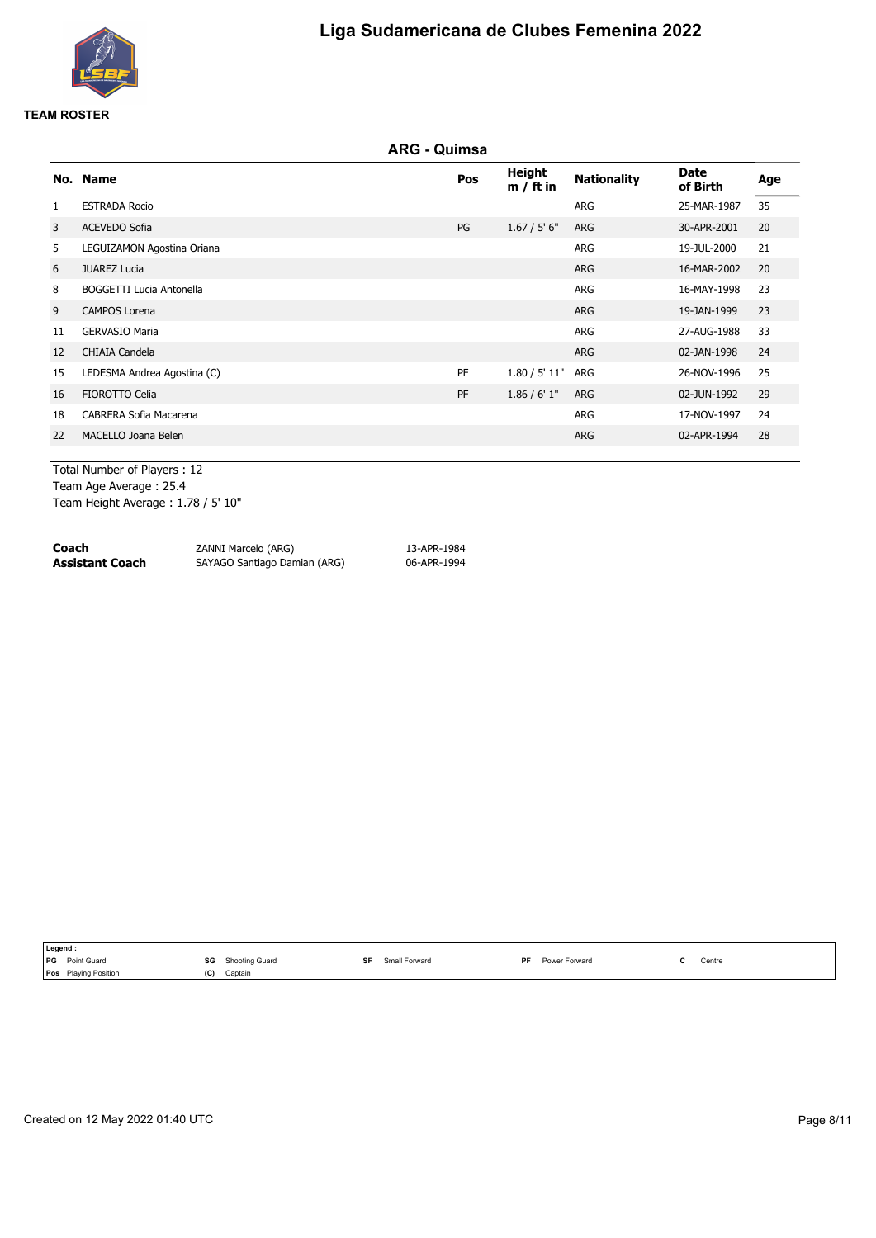

### **ARG - Quimsa**

|              | No. Name                    | Pos | <b>Height</b><br>$m / ft$ in | <b>Nationality</b> | Date<br>of Birth | Age |
|--------------|-----------------------------|-----|------------------------------|--------------------|------------------|-----|
| $\mathbf{1}$ | <b>ESTRADA Rocio</b>        |     |                              | ARG                | 25-MAR-1987      | 35  |
| 3            | <b>ACEVEDO Sofia</b>        | PG  | 1.67 / 5' 6''                | <b>ARG</b>         | 30-APR-2001      | 20  |
| 5            | LEGUIZAMON Agostina Oriana  |     |                              | ARG                | 19-JUL-2000      | 21  |
| 6            | <b>JUAREZ Lucia</b>         |     |                              | <b>ARG</b>         | 16-MAR-2002      | 20  |
| 8            | BOGGETTI Lucia Antonella    |     |                              | ARG                | 16-MAY-1998      | 23  |
| 9            | <b>CAMPOS Lorena</b>        |     |                              | <b>ARG</b>         | 19-JAN-1999      | 23  |
| 11           | <b>GERVASIO Maria</b>       |     |                              | ARG                | 27-AUG-1988      | 33  |
| 12           | CHIAIA Candela              |     |                              | <b>ARG</b>         | 02-JAN-1998      | 24  |
| 15           | LEDESMA Andrea Agostina (C) | PF  | 1.80 / 5' 11"                | ARG                | 26-NOV-1996      | 25  |
| 16           | <b>FIOROTTO Celia</b>       | PF  | 1.86 / 6' 1''                | <b>ARG</b>         | 02-JUN-1992      | 29  |
| 18           | CABRERA Sofia Macarena      |     |                              | ARG                | 17-NOV-1997      | 24  |
| 22           | MACELLO Joana Belen         |     |                              | <b>ARG</b>         | 02-APR-1994      | 28  |
|              |                             |     |                              |                    |                  |     |

Total Number of Players : 12 Team Age Average : 25.4 Team Height Average : 1.78 / 5' 10"

| Coach           | ZANNI Marcelo (ARG)          | 13-APR-1984 |
|-----------------|------------------------------|-------------|
| Assistant Coach | SAYAGO Santiago Damian (ARG) | 06-APR-1994 |

| I Legend.                      |     |                                                   |               |           |                 |                                               |
|--------------------------------|-----|---------------------------------------------------|---------------|-----------|-----------------|-----------------------------------------------|
| <b>IPG</b><br>Point Guard      | SG  | Shooting Guard<br>the contract of the contract of | Small Forward | <b>DE</b> | Forward<br>Powe | Centre<br>the contract of the contract of the |
| <b>Plaving Position</b><br>Pos | (C) | Captain                                           |               |           |                 |                                               |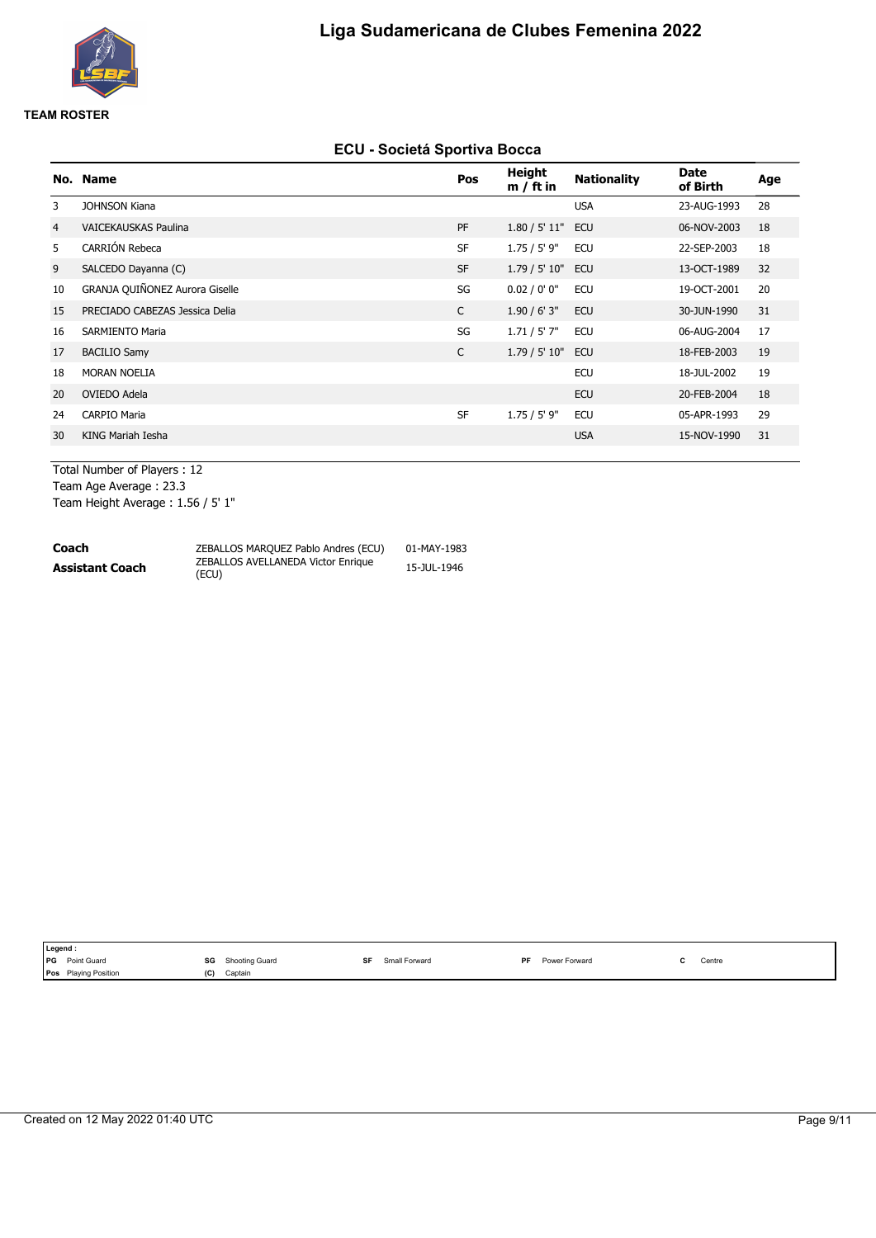

#### **ECU - Societá Sportiva Bocca**

|                | No. Name                       | Pos          | Height<br>$m / ft$ in | <b>Nationality</b> | <b>Date</b><br>of Birth | Age |
|----------------|--------------------------------|--------------|-----------------------|--------------------|-------------------------|-----|
| 3              | <b>JOHNSON Kiana</b>           |              |                       | <b>USA</b>         | 23-AUG-1993             | 28  |
| $\overline{4}$ | <b>VAICEKAUSKAS Paulina</b>    | PF           | 1.80 / 5' 11"         | <b>ECU</b>         | 06-NOV-2003             | 18  |
| 5              | CARRIÓN Rebeca                 | <b>SF</b>    | $1.75 / 5'$ 9"        | <b>ECU</b>         | 22-SEP-2003             | 18  |
| 9              | SALCEDO Dayanna (C)            | <b>SF</b>    | 1.79 / 5' 10"         | <b>ECU</b>         | 13-OCT-1989             | 32  |
| 10             | GRANJA QUIÑONEZ Aurora Giselle | SG           | 0.02 / 0' 0''         | <b>ECU</b>         | 19-OCT-2001             | 20  |
| 15             | PRECIADO CABEZAS Jessica Delia | $\mathsf{C}$ | 1.90/6'3''            | <b>ECU</b>         | 30-JUN-1990             | 31  |
| 16             | <b>SARMIENTO Maria</b>         | SG           | 1.71 / 5' 7"          | <b>ECU</b>         | 06-AUG-2004             | 17  |
| 17             | <b>BACILIO Samy</b>            | C            | 1.79 / 5' 10"         | <b>ECU</b>         | 18-FEB-2003             | 19  |
| 18             | <b>MORAN NOELIA</b>            |              |                       | <b>ECU</b>         | 18-JUL-2002             | 19  |
| 20             | OVIEDO Adela                   |              |                       | <b>ECU</b>         | 20-FEB-2004             | 18  |
| 24             | <b>CARPIO Maria</b>            | <b>SF</b>    | $1.75 / 5'$ 9"        | <b>ECU</b>         | 05-APR-1993             | 29  |
| 30             | KING Mariah Iesha              |              |                       | <b>USA</b>         | 15-NOV-1990             | 31  |
|                |                                |              |                       |                    |                         |     |

Total Number of Players : 12 Team Age Average : 23.3 Team Height Average : 1.56 / 5' 1"

| Coach                  | ZEBALLOS MARQUEZ Pablo Andres (ECU)         | 01-MAY-1983 |
|------------------------|---------------------------------------------|-------------|
| <b>Assistant Coach</b> | ZEBALLOS AVELLANEDA Victor Enrique<br>(ECU) | 15-JUL-1946 |

| Legend     |                                                                |     |                |               |           |               |                                               |
|------------|----------------------------------------------------------------|-----|----------------|---------------|-----------|---------------|-----------------------------------------------|
| <b>IPG</b> | Point Guard<br>the contract of the contract of the contract of | SG  | Shooting Guard | Small Forward | <b>DF</b> | Power Forward | Centre<br>the contract of the contract of the |
| Pos        | <b>Playing Position</b>                                        | (C) | Captain        |               |           |               |                                               |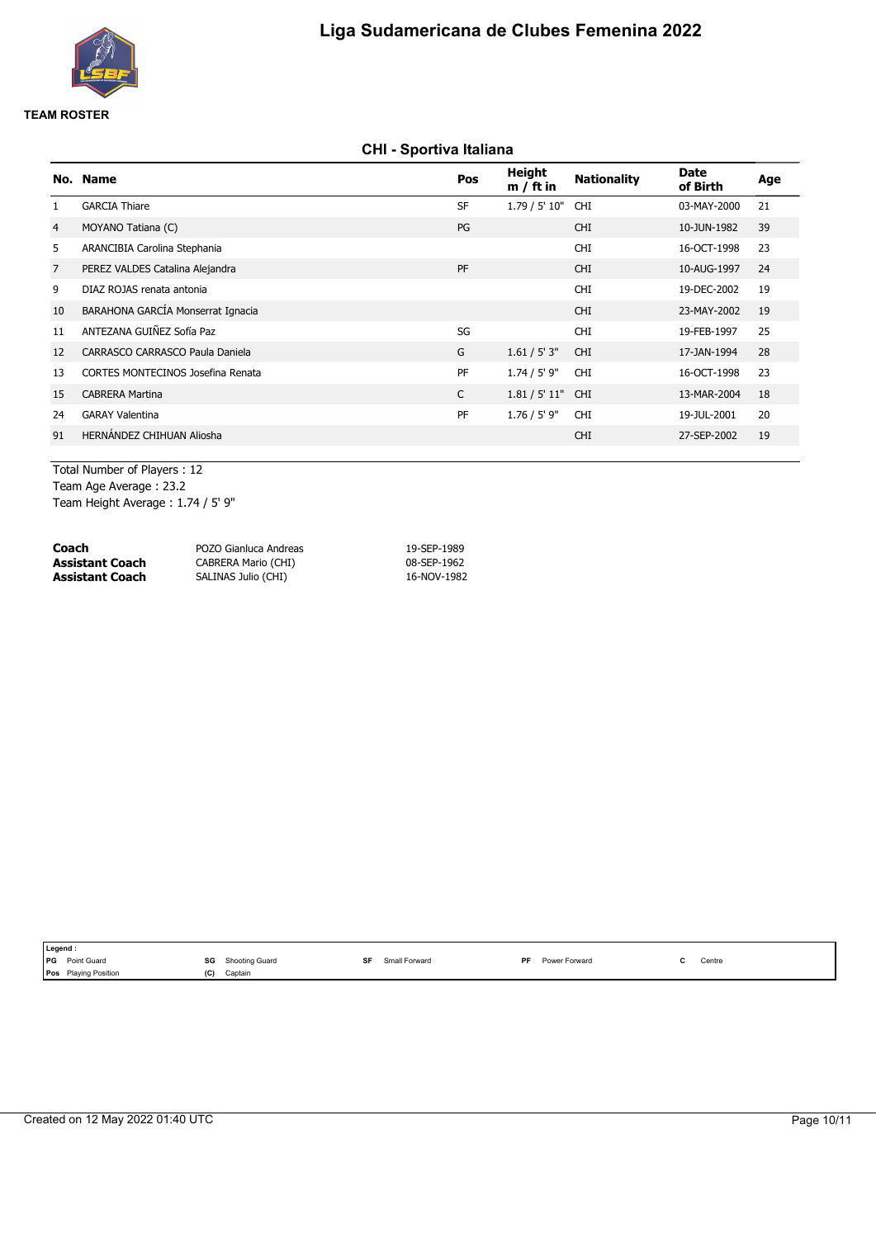

# **CHI - Sportiva Italiana**

|                | No. Name                          | Pos       | <b>Height</b><br>$m / ft$ in | <b>Nationality</b> | <b>Date</b><br>of Birth | Age |
|----------------|-----------------------------------|-----------|------------------------------|--------------------|-------------------------|-----|
| $\mathbf{1}$   | <b>GARCIA Thiare</b>              | <b>SF</b> | 1.79 / 5' 10"                | <b>CHI</b>         | 03-MAY-2000             | 21  |
| $\overline{4}$ | MOYANO Tatiana (C)                | PG        |                              | <b>CHI</b>         | 10-JUN-1982             | 39  |
| 5              | ARANCIBIA Carolina Stephania      |           |                              | <b>CHI</b>         | 16-OCT-1998             | 23  |
| $\overline{7}$ | PEREZ VALDES Catalina Alejandra   | PF        |                              | <b>CHI</b>         | 10-AUG-1997             | 24  |
| 9              | DIAZ ROJAS renata antonia         |           |                              | <b>CHI</b>         | 19-DEC-2002             | 19  |
| 10             | BARAHONA GARCÍA Monserrat Ignacia |           |                              | <b>CHI</b>         | 23-MAY-2002             | 19  |
| 11             | ANTEZANA GUIÑEZ Sofía Paz         | SG        |                              | <b>CHI</b>         | 19-FEB-1997             | 25  |
| 12             | CARRASCO CARRASCO Paula Daniela   | G         | 1.61 / 5' 3''                | <b>CHI</b>         | 17-JAN-1994             | 28  |
| 13             | CORTES MONTECINOS Josefina Renata | PF        | $1.74 / 5'$ 9"               | <b>CHI</b>         | 16-OCT-1998             | 23  |
| 15             | <b>CABRERA Martina</b>            | C         | 1.81 / 5' 11"                | <b>CHI</b>         | 13-MAR-2004             | 18  |
| 24             | <b>GARAY Valentina</b>            | PF        | $1.76 / 5'$ 9"               | <b>CHI</b>         | 19-JUL-2001             | 20  |
| 91             | HERNÁNDEZ CHIHUAN Aliosha         |           |                              | <b>CHI</b>         | 27-SEP-2002             | 19  |
|                |                                   |           |                              |                    |                         |     |

Total Number of Players : 12 Team Age Average : 23.2 Team Height Average : 1.74 / 5' 9"

| Coach           | POZO Gianluca Andreas | 19-SEP-1989 |
|-----------------|-----------------------|-------------|
| Assistant Coach | CABRERA Mario (CHI)   | 08-SEP-1962 |
| Assistant Coach | SALINAS Julio (CHI)   | 16-NOV-1982 |

| Legend :                    |     |                |           |               |           |               |                                           |
|-----------------------------|-----|----------------|-----------|---------------|-----------|---------------|-------------------------------------------|
| <b>PG</b> Point Guard       | SG  | Shooting Guard | <b>QF</b> | Small Forward | <b>DF</b> | Power Forward | Centre<br>the contract of the contract of |
| <b>Pos</b> Playing Position | (C) | Captain        |           |               |           |               |                                           |
|                             |     |                |           |               |           |               |                                           |